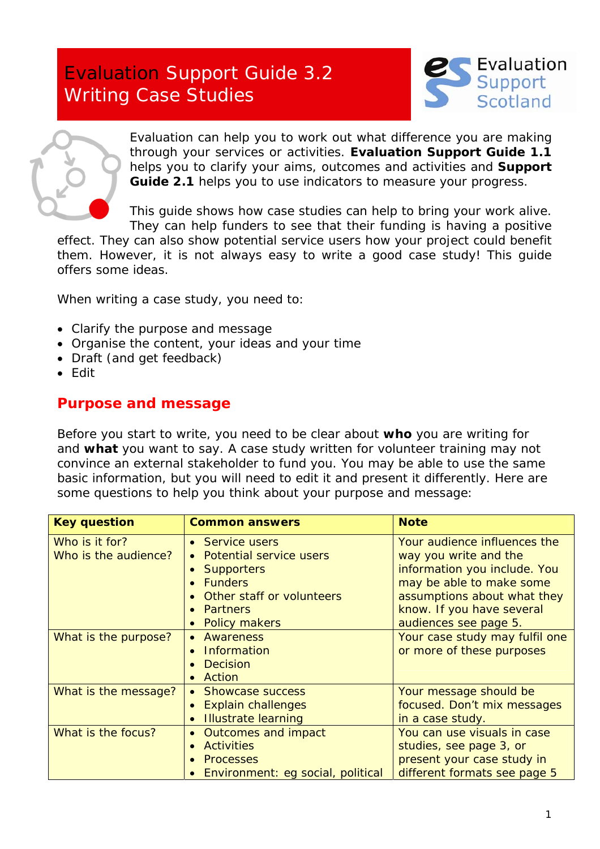# Evaluation Support Guide 3.2 Writing Case Studies





Evaluation can help you to work out what difference you are making through your services or activities. **Evaluation Support Guide 1.1** helps you to clarify your aims, outcomes and activities and **Support Guide 2.1** helps you to use indicators to measure your progress.

This guide shows how case studies can help to bring your work alive. They can help funders to see that their funding is having a positive

effect. They can also show potential service users how your project could benefit them. However, it is not always easy to write a good case study! This guide offers some ideas.

When writing a case study, you need to:

- Clarify the purpose and message
- Organise the content, your ideas and your time
- Draft (and get feedback)
- Edit

## **Purpose and message**

Before you start to write, you need to be clear about **who** you are writing for and **what** you want to say. A case study written for volunteer training may not convince an external stakeholder to fund you. You may be able to use the same basic information, but you will need to edit it and present it differently. Here are some questions to help you think about your purpose and message:

| <b>Key question</b>                    | <b>Common answers</b>                                                                                                                                                                      | <b>Note</b>                                                                                                                                                                                            |
|----------------------------------------|--------------------------------------------------------------------------------------------------------------------------------------------------------------------------------------------|--------------------------------------------------------------------------------------------------------------------------------------------------------------------------------------------------------|
| Who is it for?<br>Who is the audience? | • Service users<br><b>Potential service users</b><br>$\bullet$<br><b>Supporters</b><br>$\bullet$<br><b>Funders</b><br>Other staff or volunteers<br><b>Partners</b><br><b>Policy makers</b> | Your audience influences the<br>way you write and the<br>information you include. You<br>may be able to make some<br>assumptions about what they<br>know. If you have several<br>audiences see page 5. |
| What is the purpose?                   | Awareness<br>$\bullet$<br>Information<br>$\bullet$<br><b>Decision</b><br>Action                                                                                                            | Your case study may fulfil one<br>or more of these purposes                                                                                                                                            |
| What is the message?                   | • Showcase success<br><b>Explain challenges</b><br><b>Illustrate learning</b><br>$\bullet$                                                                                                 | Your message should be<br>focused. Don't mix messages<br>in a case study.                                                                                                                              |
| What is the focus?                     | Outcomes and impact<br>$\bullet$<br><b>Activities</b><br><b>Processes</b><br>Environment: eg social, political                                                                             | You can use visuals in case<br>studies, see page 3, or<br>present your case study in<br>different formats see page 5                                                                                   |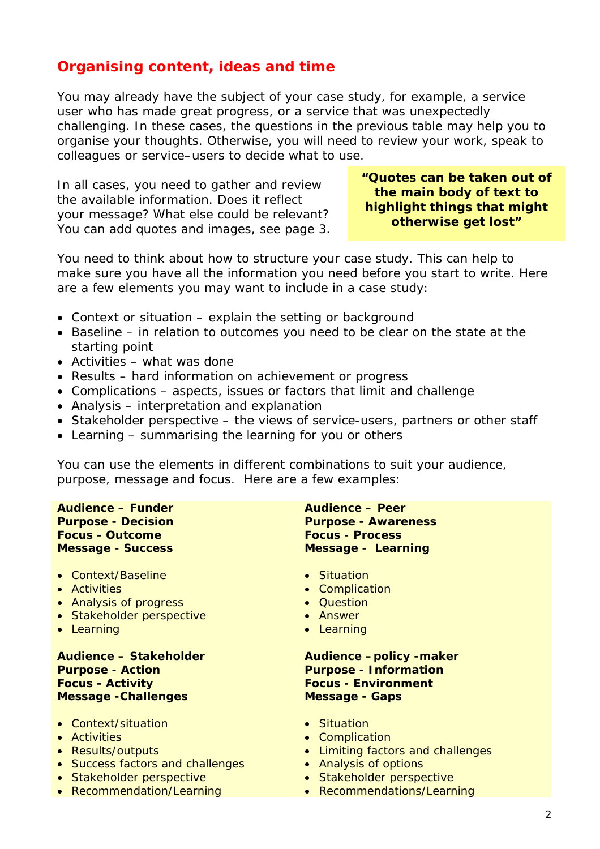# **Organising content, ideas and time**

You may already have the subject of your case study, for example, a service user who has made great progress, or a service that was unexpectedly challenging. In these cases, the questions in the previous table may help you to organise your thoughts. Otherwise, you will need to review your work, speak to colleagues or service–users to decide what to use.

In all cases, you need to gather and review the available information. Does it reflect your message? What else could be relevant? You can add quotes and images, see page 3. **"Quotes can be taken out of the main body of text to highlight things that might otherwise get lost"** 

You need to think about how to structure your case study. This can help to make sure you have all the information you need before you start to write. Here are a few elements you may want to include in a case study:

- Context or situation explain the setting or background
- Baseline in relation to outcomes you need to be clear on the state at the starting point
- Activities what was done
- Results hard information on achievement or progress
- Complications aspects, issues or factors that limit and challenge
- Analysis interpretation and explanation
- Stakeholder perspective the views of service-users, partners or other staff
- Learning summarising the learning for you or others

You can use the elements in different combinations to suit your audience, purpose, message and focus. Here are a few examples:

**Audience – Funder Purpose - Decision Focus - Outcome Message - Success** 

- Context/Baseline
- Activities
- Analysis of progress
- Stakeholder perspective
- Learning

**Audience – Stakeholder Purpose - Action Focus - Activity Message -Challenges** 

- Context/situation
- Activities
- Results/outputs
- Success factors and challenges
- Stakeholder perspective
- Recommendation/Learning

**Audience – Peer Purpose - Awareness Focus - Process Message - Learning** 

- Situation
- Complication
- Question
- Answer
- Learning

#### **Audience –policy -maker Purpose - Information Focus - Environment Message - Gaps**

- Situation
- Complication
- Limiting factors and challenges
- Analysis of options
- Stakeholder perspective
- Recommendations/Learning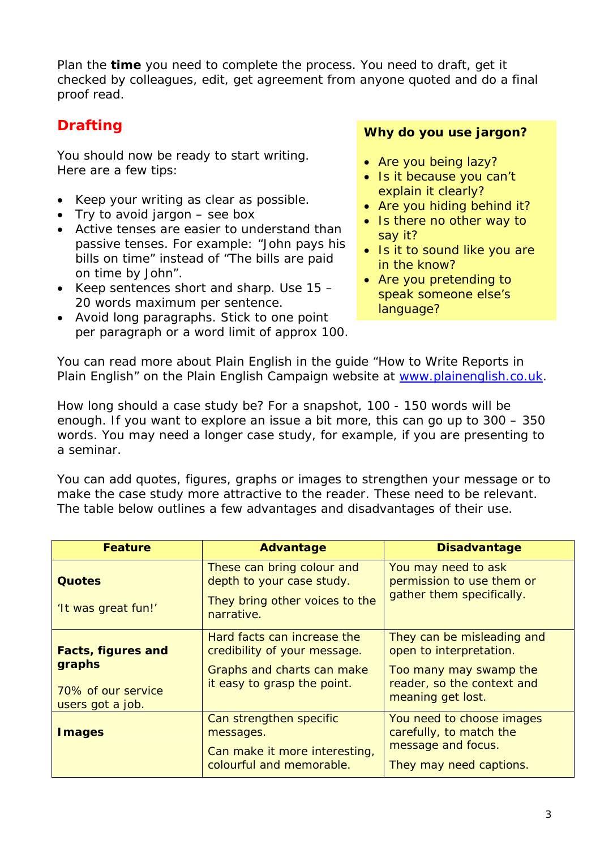Plan the **time** you need to complete the process. You need to draft, get it checked by colleagues, edit, get agreement from anyone quoted and do a final proof read.

You should now be ready to start writing. Here are a few tips:

- Keep your writing as clear as possible.
- Try to avoid jargon see box
- Active tenses are easier to understand than passive tenses. For example: "John pays his bills on time" instead of "The bills are paid on time by John".
- Keep sentences short and sharp. Use 15 20 words maximum per sentence.
- Avoid long paragraphs. Stick to one point per paragraph or a word limit of approx 100.

# **Drafting** *Why do you use jargon?*

- *Are you being lazy?*
- *Is it because you can't explain it clearly?*
- *Are you hiding behind it?*
- *Is there no other way to say it?*
- *Is it to sound like you are in the know?*
- *Are you pretending to speak someone else's language?*

You can read more about Plain English in the guide "How to Write Reports in Plain English" on the Plain English Campaign website at [www.plainenglish.co.uk](http://www.plainenglish.co.uk/).

How long should a case study be? For a snapshot, 100 - 150 words will be enough. If you want to explore an issue a bit more, this can go up to 300 – 350 words. You may need a longer case study, for example, if you are presenting to a seminar.

You can add quotes, figures, graphs or images to strengthen your message or to make the case study more attractive to the reader. These need to be relevant. The table below outlines a few advantages and disadvantages of their use.

| <b>Feature</b>                                                                | Advantage                                                                                                                | <b>Disadvantage</b>                                                                                                                |
|-------------------------------------------------------------------------------|--------------------------------------------------------------------------------------------------------------------------|------------------------------------------------------------------------------------------------------------------------------------|
| Quotes<br>'It was great fun!'                                                 | These can bring colour and<br>depth to your case study.<br>They bring other voices to the<br>narrative.                  | You may need to ask<br>permission to use them or<br>gather them specifically.                                                      |
| <b>Facts, figures and</b><br>graphs<br>70% of our service<br>users got a job. | Hard facts can increase the<br>credibility of your message.<br>Graphs and charts can make<br>it easy to grasp the point. | They can be misleading and<br>open to interpretation.<br>Too many may swamp the<br>reader, so the context and<br>meaning get lost. |
| <b>I</b> mages                                                                | Can strengthen specific<br>messages.<br>Can make it more interesting,<br>colourful and memorable.                        | You need to choose images<br>carefully, to match the<br>message and focus.<br>They may need captions.                              |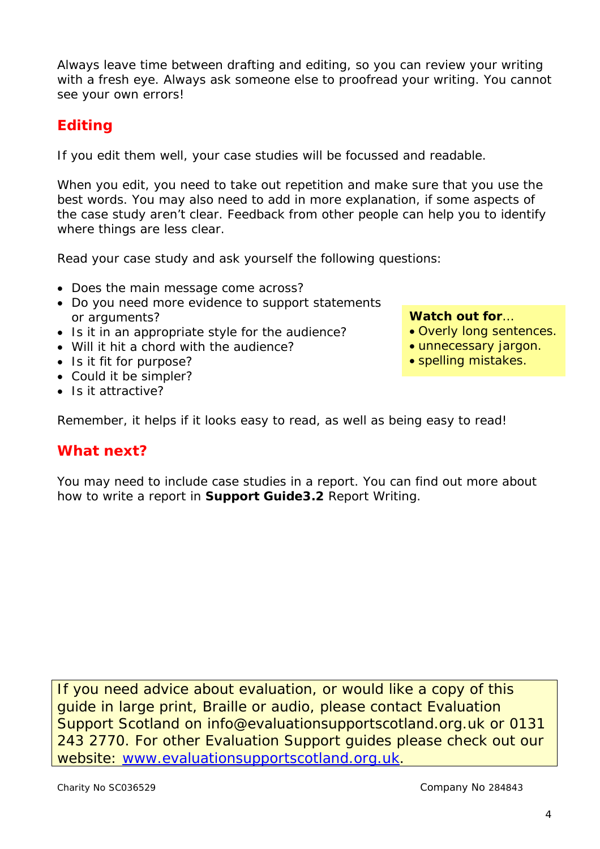Always leave time between drafting and editing, so you can review your writing with a fresh eye. Always ask someone else to proofread your writing. You cannot see your own errors!

# **Editing**

If you edit them well, your case studies will be focussed and readable.

When you edit, you need to take out repetition and make sure that you use the best words. You may also need to add in more explanation, if some aspects of the case study aren't clear. Feedback from other people can help you to identify where things are less clear.

Read your case study and ask yourself the following questions:

- Does the main message come across?
- Do you need more evidence to support statements or arguments? **Watch out for**…
- Is it in an appropriate style for the audience?
- Will it hit a chord with the audience?
- Is it fit for purpose?
- Could it be simpler?
- Is it attractive?

- Overly long sentences.
- unnecessary jargon.
- spelling mistakes.

Remember, it helps if it looks easy to read, as well as being easy to read!

# **What next?**

You may need to include case studies in a report. You can find out more about how to write a report in **Support Guide3.2** *Report Writing.* 

If you need advice about evaluation, or would like a copy of this guide in large print, Braille or audio, please contact Evaluation Support Scotland on info@evaluationsupportscotland.org.uk or 0131 243 2770. For other Evaluation Support guides please check out our website: [www.evaluationsupportscotland.org.uk](http://www.evaluationsupportscotland.org.uk/).